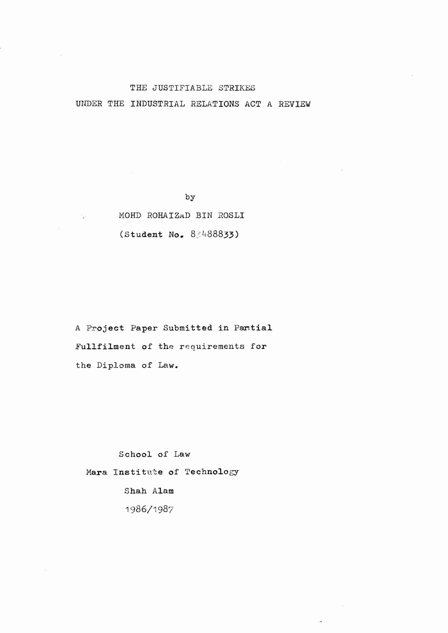### THE JUSTIFIABLE STRIKES

UNDER THE INDUSTRIAL RELATIONS ACT A REVIEW

by

# MOHD ROHAIZAD BIN ROSLI (Student No. 83488833)

A Project Paper Submitted in Partial Fullfilment of the requirements for the Diploma of Law.

School of Law Mara Institute of Technology Shah Alam 1986/1987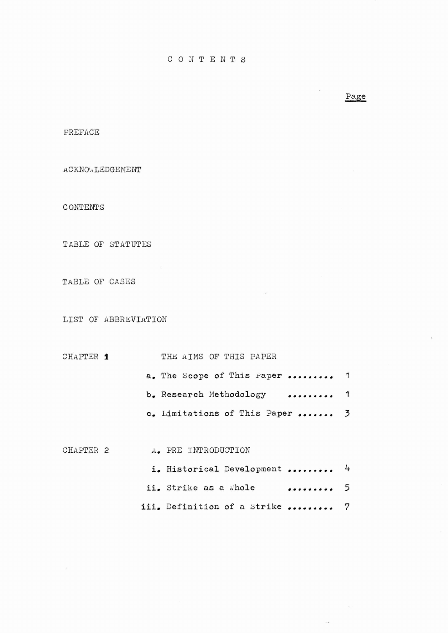## Page

PREFACE

**ACKNOWLEDGEMENT** 

CONTENTS

TABLE OF STATUTES

TABLE OF CASES

LIST OF ABBREVIATION

# CHAPTER  $\bullet$  THE AIMS OF THIS PAPER

| a. The Scope of This Paper      | 1 |
|---------------------------------|---|
| b. Research Methodology<br>.    | 1 |
| c. Limitations of This Paper  3 |   |

 $\sim$ 

| CHAPTER 2 |  | A. PRE INTRODUCTION            |     |  |
|-----------|--|--------------------------------|-----|--|
|           |  | i. Historical Development  4   |     |  |
|           |  | ii. Strike as a whole          | . 5 |  |
|           |  | iii. Definition of a Strike  7 |     |  |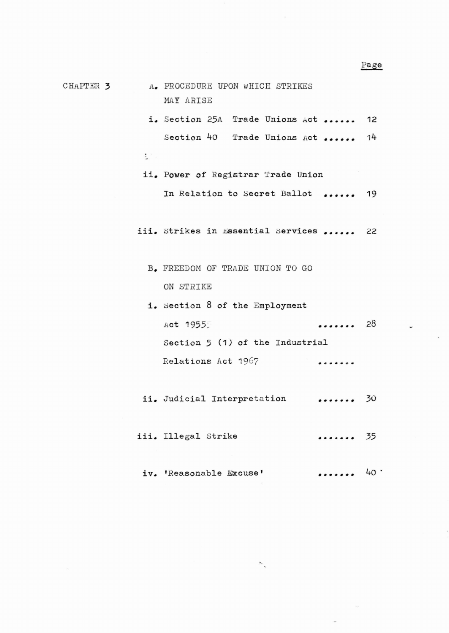CHAPTER 3 A. PROCEDURE UPON WHICH STRIKES MAY ARISE

 $\sigma$  .

- i. Section 25A Trade Unions Act ...... 12 Section 40 Trade Unions Act ...... 14
- ii. Power of Registrar Trade Union In Relation to Secret Ballot ...... 19
- iii. Strikes in Essential Services ...... 22
	- B. FREEDOM OF TRADE UNION TO GO ON STRIKE
	- i. Section 8 of the Employment Act 1955~ . . . . . . . 28 Section 5 (1) of the Industrial Relations Act 1967 . . . . . . .
- ii. Judicial Interpretation  $\cdots$  30
- iii. Illegal Strike ....... 35
	- iv. 'Reasonable Excuse'  $\cdots \cdots$  40  $\cdot$

٨.

Page

÷.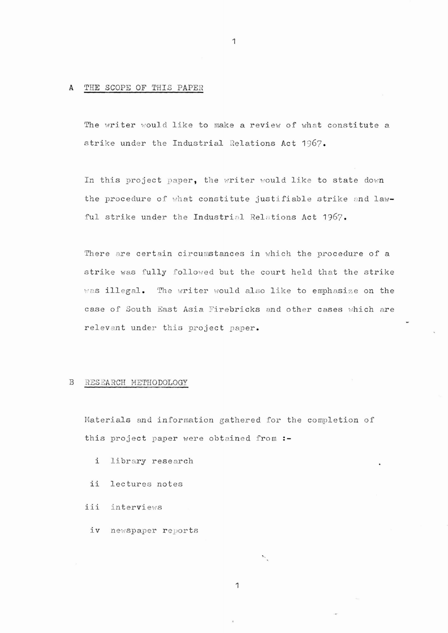## A. THE SCOPE OF THIS PAPER

The writer would like to make a review of what constitute a strike under the Industrial Relations Act 1967.

In this project paper, the writer would like to state down the procedure of what constitute justifiable strike and lawful strike under the Industrial Relations Act 1967.

There are certain circumstances in which the procedure of a strike was fully followed but the court held that the strike was illegal. The writer would also like to emphasize on the case of South East Asia Firebricks and other cases which are relevant under this project paper.

#### B RESEARCH METHODOLOGY

Materials and information gathered for the completion of this project paper were obtained from :-

- i library research
- ii lectures notes
- iii interviews
	- iv newspaper reports

1